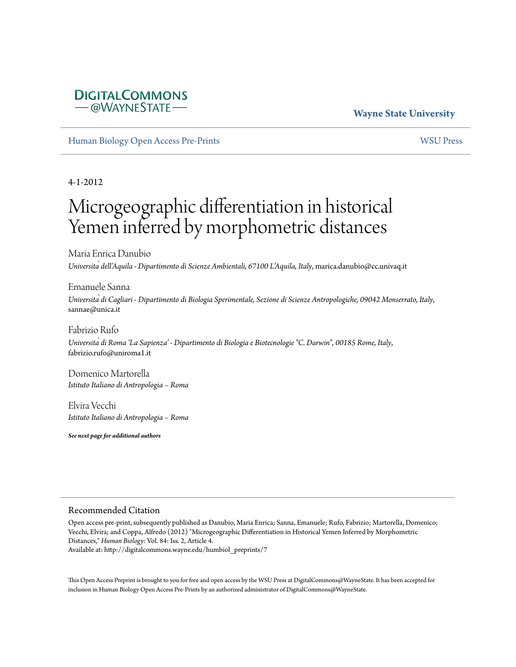# **DIGITALCOMMONS** –@WAYNESTATE–

# **Wayne State University**

[Human Biology Open Access Pre-Prints](http://digitalcommons.wayne.edu/humbiol_preprints) [WSU Press](http://digitalcommons.wayne.edu/wsupress)

4-1-2012

# Microgeographic differentiation in historical Yemen inferred by morphometric distances

Maria Enrica Danubio *Università dell'Aquila - Dipartimento di Scienze Ambientali, 67100 L'Aquila, Italy*, marica.danubio@cc.univaq.it

Emanuele Sanna *Università di Cagliari - Dipartimento di Biologia Sperimentale, Sezione di Scienze Antropologiche, 09042 Monserrato, Italy*, sannae@unica.it

Fabrizio Rufo *Università di Roma 'La Sapienza' - Dipartimento di Biologia e Biotecnologie "C. Darwin", 00185 Rome, Italy*, fabrizio.rufo@uniroma1.it

Domenico Martorella *Istituto Italiano di Antropologia – Roma*

Elvira Vecchi *Istituto Italiano di Antropologia – Roma*

*See next page for additional authors*

#### Recommended Citation

Open access pre-print, subsequently published as Danubio, Maria Enrica; Sanna, Emanuele; Rufo, Fabrizio; Martorella, Domenico; Vecchi, Elvira; and Coppa, Alfredo (2012) "Microgeographic Differentiation in Historical Yemen Inferred by Morphometric Distances," *Human Biology*: Vol. 84: Iss. 2, Article 4. Available at: http://digitalcommons.wayne.edu/humbiol\_preprints/7

This Open Access Preprint is brought to you for free and open access by the WSU Press at DigitalCommons@WayneState. It has been accepted for inclusion in Human Biology Open Access Pre-Prints by an authorized administrator of DigitalCommons@WayneState.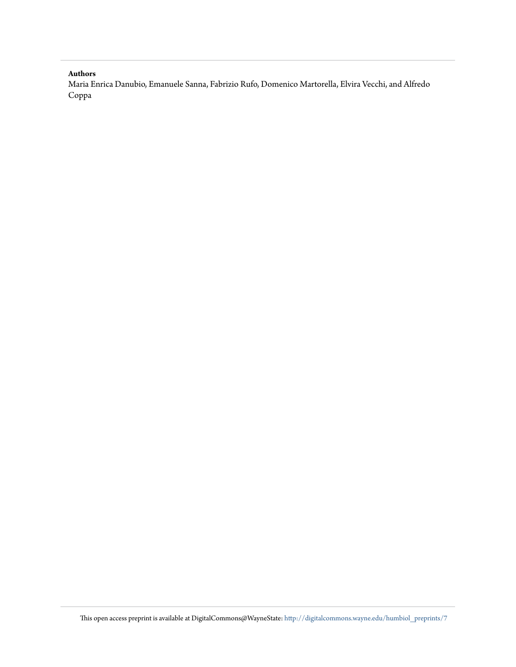#### **Authors**

Maria Enrica Danubio, Emanuele Sanna, Fabrizio Rufo, Domenico Martorella, Elvira Vecchi, and Alfredo Coppa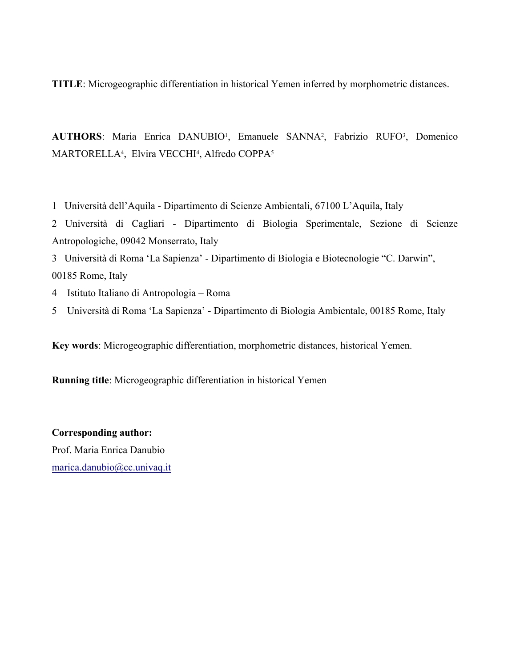**TITLE**: Microgeographic differentiation in historical Yemen inferred by morphometric distances.

AUTHORS: Maria Enrica DANUBIO<sup>1</sup>, Emanuele SANNA<sup>2</sup>, Fabrizio RUFO<sup>3</sup>, Domenico MARTORELLA<sup>4</sup>, Elvira VECCHI<sup>4</sup>, Alfredo COPPA<sup>5</sup>

1 Università dell'Aquila - Dipartimento di Scienze Ambientali, 67100 L'Aquila, Italy

2 Università di Cagliari - Dipartimento di Biologia Sperimentale, Sezione di Scienze Antropologiche, 09042 Monserrato, Italy

3 Università di Roma 'La Sapienza' - Dipartimento di Biologia e Biotecnologie "C. Darwin", 00185 Rome, Italy

- 4 Istituto Italiano di Antropologia Roma
- 5 Università di Roma 'La Sapienza' Dipartimento di Biologia Ambientale, 00185 Rome, Italy

**Key words**: Microgeographic differentiation, morphometric distances, historical Yemen.

**Running title**: Microgeographic differentiation in historical Yemen

**Corresponding author:**

Prof. Maria Enrica Danubio [marica.danubio@cc.univaq.it](mailto:Marica.danubio@cc.univaq.it)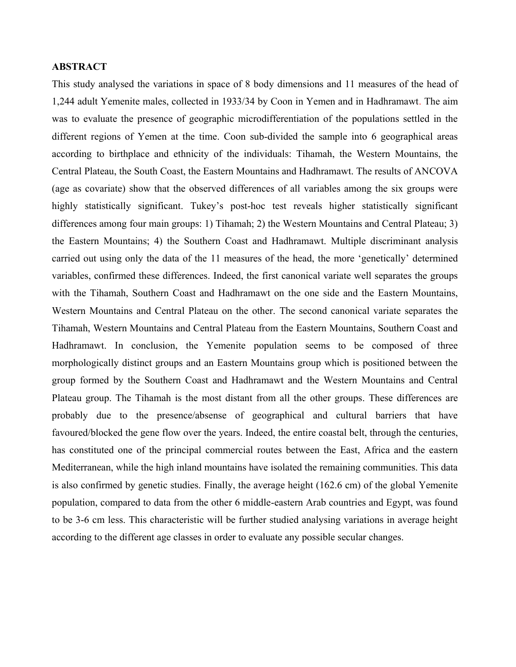## **ABSTRACT**

This study analysed the variations in space of 8 body dimensions and 11 measures of the head of 1,244 adult Yemenite males, collected in 1933/34 by Coon in Yemen and in Hadhramawt. The aim was to evaluate the presence of geographic microdifferentiation of the populations settled in the different regions of Yemen at the time. Coon sub-divided the sample into 6 geographical areas according to birthplace and ethnicity of the individuals: Tihamah, the Western Mountains, the Central Plateau, the South Coast, the Eastern Mountains and Hadhramawt. The results of ANCOVA (age as covariate) show that the observed differences of all variables among the six groups were highly statistically significant. Tukey's post-hoc test reveals higher statistically significant differences among four main groups: 1) Tihamah; 2) the Western Mountains and Central Plateau; 3) the Eastern Mountains; 4) the Southern Coast and Hadhramawt. Multiple discriminant analysis carried out using only the data of the 11 measures of the head, the more 'genetically' determined variables, confirmed these differences. Indeed, the first canonical variate well separates the groups with the Tihamah, Southern Coast and Hadhramawt on the one side and the Eastern Mountains, Western Mountains and Central Plateau on the other. The second canonical variate separates the Tihamah, Western Mountains and Central Plateau from the Eastern Mountains, Southern Coast and Hadhramawt. In conclusion, the Yemenite population seems to be composed of three morphologically distinct groups and an Eastern Mountains group which is positioned between the group formed by the Southern Coast and Hadhramawt and the Western Mountains and Central Plateau group. The Tihamah is the most distant from all the other groups. These differences are probably due to the presence/absense of geographical and cultural barriers that have favoured/blocked the gene flow over the years. Indeed, the entire coastal belt, through the centuries, has constituted one of the principal commercial routes between the East, Africa and the eastern Mediterranean, while the high inland mountains have isolated the remaining communities. This data is also confirmed by genetic studies. Finally, the average height (162.6 cm) of the global Yemenite population, compared to data from the other 6 middle-eastern Arab countries and Egypt, was found to be 3-6 cm less. This characteristic will be further studied analysing variations in average height according to the different age classes in order to evaluate any possible secular changes.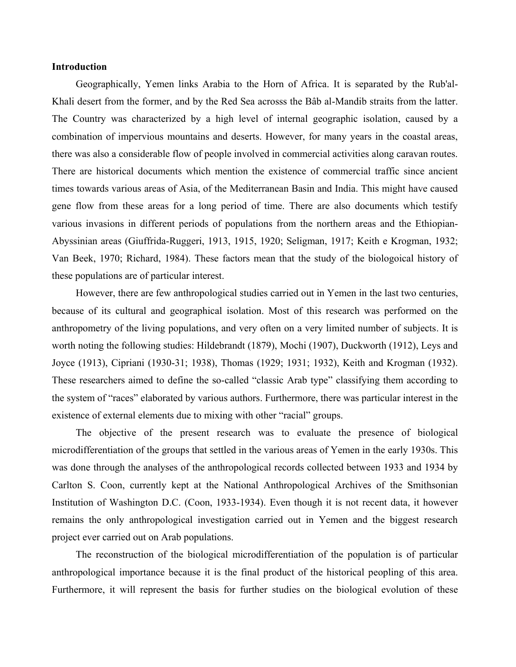#### **Introduction**

Geographically, Yemen links Arabia to the Horn of Africa. It is separated by the Rub'al-Khali desert from the former, and by the Red Sea acrosss the Bâb al-Mandib straits from the latter. The Country was characterized by a high level of internal geographic isolation, caused by a combination of impervious mountains and deserts. However, for many years in the coastal areas, there was also a considerable flow of people involved in commercial activities along caravan routes. There are historical documents which mention the existence of commercial traffic since ancient times towards various areas of Asia, of the Mediterranean Basin and India. This might have caused gene flow from these areas for a long period of time. There are also documents which testify various invasions in different periods of populations from the northern areas and the Ethiopian-Abyssinian areas (Giuffrida-Ruggeri, 1913, 1915, 1920; Seligman, 1917; Keith e Krogman, 1932; Van Beek, 1970; Richard, 1984). These factors mean that the study of the biologoical history of these populations are of particular interest.

However, there are few anthropological studies carried out in Yemen in the last two centuries, because of its cultural and geographical isolation. Most of this research was performed on the anthropometry of the living populations, and very often on a very limited number of subjects. It is worth noting the following studies: Hildebrandt (1879), Mochi (1907), Duckworth (1912), Leys and Joyce (1913), Cipriani (1930-31; 1938), Thomas (1929; 1931; 1932), Keith and Krogman (1932). These researchers aimed to define the so-called "classic Arab type" classifying them according to the system of "races" elaborated by various authors. Furthermore, there was particular interest in the existence of external elements due to mixing with other "racial" groups.

The objective of the present research was to evaluate the presence of biological microdifferentiation of the groups that settled in the various areas of Yemen in the early 1930s. This was done through the analyses of the anthropological records collected between 1933 and 1934 by Carlton S. Coon, currently kept at the National Anthropological Archives of the Smithsonian Institution of Washington D.C. (Coon, 1933-1934). Even though it is not recent data, it however remains the only anthropological investigation carried out in Yemen and the biggest research project ever carried out on Arab populations.

The reconstruction of the biological microdifferentiation of the population is of particular anthropological importance because it is the final product of the historical peopling of this area. Furthermore, it will represent the basis for further studies on the biological evolution of these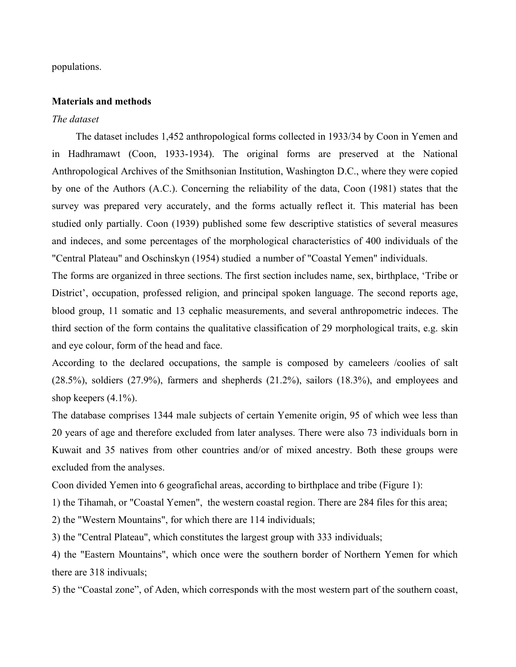populations.

#### **Materials and methods**

#### *The dataset*

The dataset includes 1,452 anthropological forms collected in 1933/34 by Coon in Yemen and in Hadhramawt (Coon, 1933-1934). The original forms are preserved at the National Anthropological Archives of the Smithsonian Institution, Washington D.C., where they were copied by one of the Authors (A.C.). Concerning the reliability of the data, Coon (1981) states that the survey was prepared very accurately, and the forms actually reflect it. This material has been studied only partially. Coon (1939) published some few descriptive statistics of several measures and indeces, and some percentages of the morphological characteristics of 400 individuals of the "Central Plateau" and Oschinskyn (1954) studied a number of "Coastal Yemen" individuals.

The forms are organized in three sections. The first section includes name, sex, birthplace, 'Tribe or District', occupation, professed religion, and principal spoken language. The second reports age, blood group, 11 somatic and 13 cephalic measurements, and several anthropometric indeces. The third section of the form contains the qualitative classification of 29 morphological traits, e.g. skin and eye colour, form of the head and face.

According to the declared occupations, the sample is composed by cameleers /coolies of salt (28.5%), soldiers (27.9%), farmers and shepherds (21.2%), sailors (18.3%), and employees and shop keepers (4.1%).

The database comprises 1344 male subjects of certain Yemenite origin, 95 of which wee less than 20 years of age and therefore excluded from later analyses. There were also 73 individuals born in Kuwait and 35 natives from other countries and/or of mixed ancestry. Both these groups were excluded from the analyses.

Coon divided Yemen into 6 geografichal areas, according to birthplace and tribe (Figure 1):

1) the Tihamah, or "Coastal Yemen", the western coastal region. There are 284 files for this area;

2) the "Western Mountains", for which there are 114 individuals;

3) the "Central Plateau", which constitutes the largest group with 333 individuals;

4) the "Eastern Mountains", which once were the southern border of Northern Yemen for which there are 318 indivuals;

5) the "Coastal zone", of Aden, which corresponds with the most western part of the southern coast,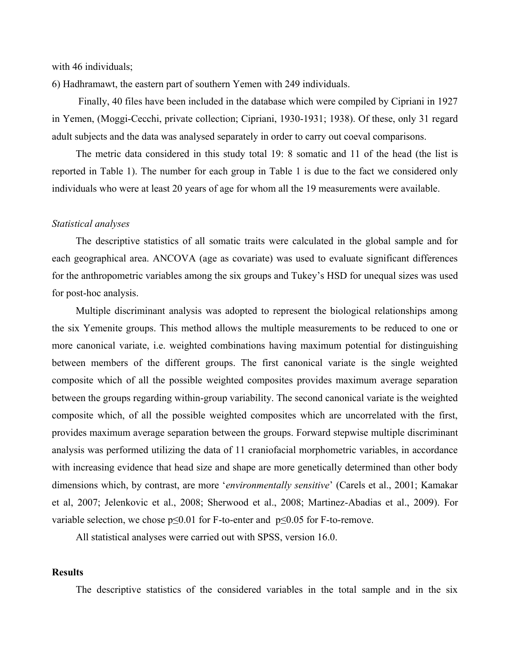with 46 individuals;

6) Hadhramawt, the eastern part of southern Yemen with 249 individuals.

Finally, 40 files have been included in the database which were compiled by Cipriani in 1927 in Yemen, (Moggi-Cecchi, private collection; Cipriani, 1930-1931; 1938). Of these, only 31 regard adult subjects and the data was analysed separately in order to carry out coeval comparisons.

The metric data considered in this study total 19: 8 somatic and 11 of the head (the list is reported in Table 1). The number for each group in Table 1 is due to the fact we considered only individuals who were at least 20 years of age for whom all the 19 measurements were available.

#### *Statistical analyses*

The descriptive statistics of all somatic traits were calculated in the global sample and for each geographical area. ANCOVA (age as covariate) was used to evaluate significant differences for the anthropometric variables among the six groups and Tukey's HSD for unequal sizes was used for post-hoc analysis.

Multiple discriminant analysis was adopted to represent the biological relationships among the six Yemenite groups. This method allows the multiple measurements to be reduced to one or more canonical variate, i.e. weighted combinations having maximum potential for distinguishing between members of the different groups. The first canonical variate is the single weighted composite which of all the possible weighted composites provides maximum average separation between the groups regarding within-group variability. The second canonical variate is the weighted composite which, of all the possible weighted composites which are uncorrelated with the first, provides maximum average separation between the groups. Forward stepwise multiple discriminant analysis was performed utilizing the data of 11 craniofacial morphometric variables, in accordance with increasing evidence that head size and shape are more genetically determined than other body dimensions which, by contrast, are more '*environmentally sensitive*' (Carels et al., 2001; Kamakar et al, 2007; Jelenkovic et al., 2008; Sherwood et al., 2008; Martinez-Abadias et al., 2009). For variable selection, we chose  $p \le 0.01$  for F-to-enter and  $p \le 0.05$  for F-to-remove.

All statistical analyses were carried out with SPSS, version 16.0.

#### **Results**

The descriptive statistics of the considered variables in the total sample and in the six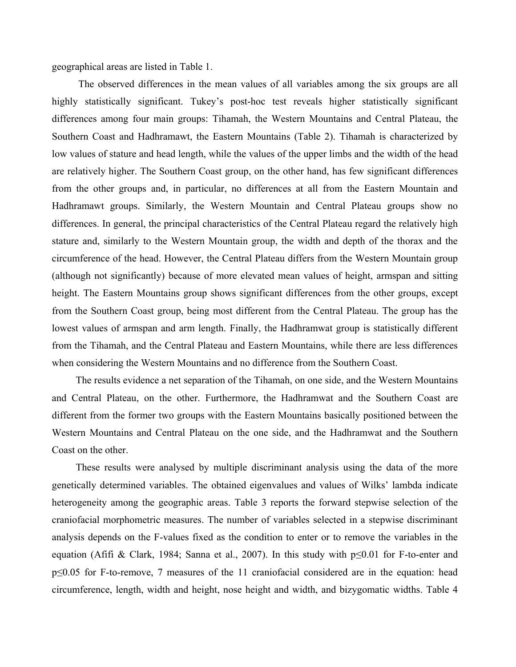geographical areas are listed in Table 1.

The observed differences in the mean values of all variables among the six groups are all highly statistically significant. Tukey's post-hoc test reveals higher statistically significant differences among four main groups: Tihamah, the Western Mountains and Central Plateau, the Southern Coast and Hadhramawt, the Eastern Mountains (Table 2). Tihamah is characterized by low values of stature and head length, while the values of the upper limbs and the width of the head are relatively higher. The Southern Coast group, on the other hand, has few significant differences from the other groups and, in particular, no differences at all from the Eastern Mountain and Hadhramawt groups. Similarly, the Western Mountain and Central Plateau groups show no differences. In general, the principal characteristics of the Central Plateau regard the relatively high stature and, similarly to the Western Mountain group, the width and depth of the thorax and the circumference of the head. However, the Central Plateau differs from the Western Mountain group (although not significantly) because of more elevated mean values of height, armspan and sitting height. The Eastern Mountains group shows significant differences from the other groups, except from the Southern Coast group, being most different from the Central Plateau. The group has the lowest values of armspan and arm length. Finally, the Hadhramwat group is statistically different from the Tihamah, and the Central Plateau and Eastern Mountains, while there are less differences when considering the Western Mountains and no difference from the Southern Coast.

The results evidence a net separation of the Tihamah, on one side, and the Western Mountains and Central Plateau, on the other. Furthermore, the Hadhramwat and the Southern Coast are different from the former two groups with the Eastern Mountains basically positioned between the Western Mountains and Central Plateau on the one side, and the Hadhramwat and the Southern Coast on the other.

These results were analysed by multiple discriminant analysis using the data of the more genetically determined variables. The obtained eigenvalues and values of Wilks' lambda indicate heterogeneity among the geographic areas. Table 3 reports the forward stepwise selection of the craniofacial morphometric measures. The number of variables selected in a stepwise discriminant analysis depends on the F-values fixed as the condition to enter or to remove the variables in the equation (Afifi & Clark, 1984; Sanna et al., 2007). In this study with p≤0.01 for F-to-enter and p≤0.05 for F-to-remove, 7 measures of the 11 craniofacial considered are in the equation: head circumference, length, width and height, nose height and width, and bizygomatic widths. Table 4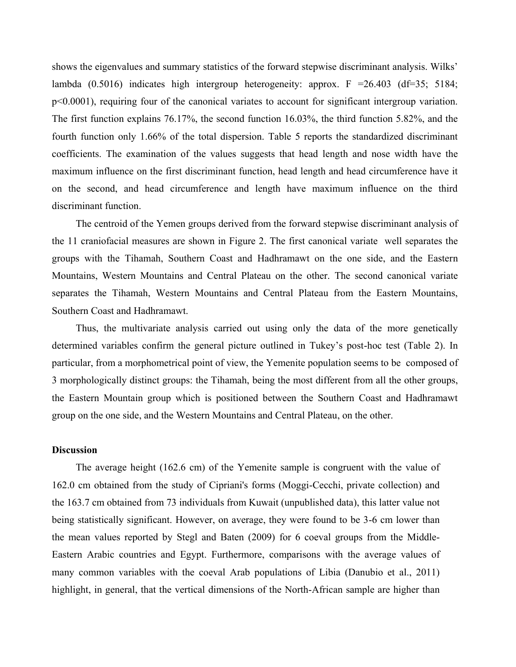shows the eigenvalues and summary statistics of the forward stepwise discriminant analysis. Wilks' lambda  $(0.5016)$  indicates high intergroup heterogeneity: approx. F = 26.403 (df=35; 5184; p<0.0001), requiring four of the canonical variates to account for significant intergroup variation. The first function explains 76.17%, the second function 16.03%, the third function 5.82%, and the fourth function only 1.66% of the total dispersion. Table 5 reports the standardized discriminant coefficients. The examination of the values suggests that head length and nose width have the maximum influence on the first discriminant function, head length and head circumference have it on the second, and head circumference and length have maximum influence on the third discriminant function.

The centroid of the Yemen groups derived from the forward stepwise discriminant analysis of the 11 craniofacial measures are shown in Figure 2. The first canonical variate well separates the groups with the Tihamah, Southern Coast and Hadhramawt on the one side, and the Eastern Mountains, Western Mountains and Central Plateau on the other. The second canonical variate separates the Tihamah, Western Mountains and Central Plateau from the Eastern Mountains, Southern Coast and Hadhramawt.

Thus, the multivariate analysis carried out using only the data of the more genetically determined variables confirm the general picture outlined in Tukey's post-hoc test (Table 2). In particular, from a morphometrical point of view, the Yemenite population seems to be composed of 3 morphologically distinct groups: the Tihamah, being the most different from all the other groups, the Eastern Mountain group which is positioned between the Southern Coast and Hadhramawt group on the one side, and the Western Mountains and Central Plateau, on the other.

## **Discussion**

The average height (162.6 cm) of the Yemenite sample is congruent with the value of 162.0 cm obtained from the study of Cipriani's forms (Moggi-Cecchi, private collection) and the 163.7 cm obtained from 73 individuals from Kuwait (unpublished data), this latter value not being statistically significant. However, on average, they were found to be 3-6 cm lower than the mean values reported by Stegl and Baten (2009) for 6 coeval groups from the Middle-Eastern Arabic countries and Egypt. Furthermore, comparisons with the average values of many common variables with the coeval Arab populations of Libia (Danubio et al., 2011) highlight, in general, that the vertical dimensions of the North-African sample are higher than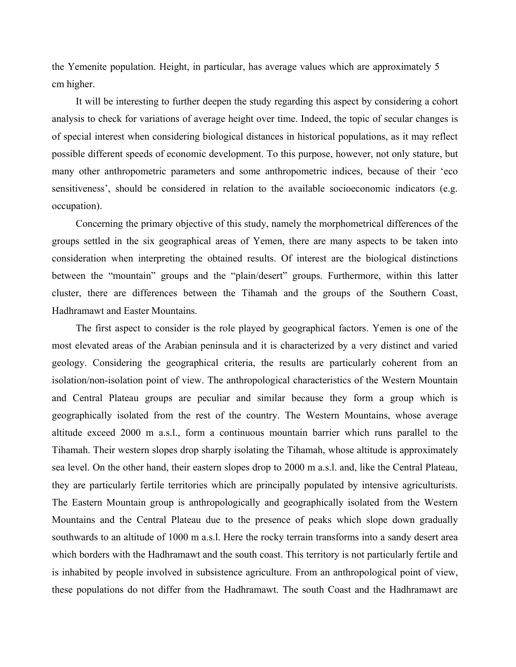the Yemenite population. Height, in particular, has average values which are approximately 5 cm higher.

It will be interesting to further deepen the study regarding this aspect by considering a cohort analysis to check for variations of average height over time. Indeed, the topic of secular changes is of special interest when considering biological distances in historical populations, as it may reflect possible different speeds of economic development. To this purpose, however, not only stature, but many other anthropometric parameters and some anthropometric indices, because of their 'eco sensitiveness', should be considered in relation to the available socioeconomic indicators (e.g. occupation).

Concerning the primary objective of this study, namely the morphometrical differences of the groups settled in the six geographical areas of Yemen, there are many aspects to be taken into consideration when interpreting the obtained results. Of interest are the biological distinctions between the "mountain" groups and the "plain/desert" groups. Furthermore, within this latter cluster, there are differences between the Tihamah and the groups of the Southern Coast, Hadhramawt and Easter Mountains.

The first aspect to consider is the role played by geographical factors. Yemen is one of the most elevated areas of the Arabian peninsula and it is characterized by a very distinct and varied geology. Considering the geographical criteria, the results are particularly coherent from an isolation/non-isolation point of view. The anthropological characteristics of the Western Mountain and Central Plateau groups are peculiar and similar because they form a group which is geographically isolated from the rest of the country. The Western Mountains, whose average altitude exceed 2000 m a.s.l., form a continuous mountain barrier which runs parallel to the Tihamah. Their western slopes drop sharply isolating the Tihamah, whose altitude is approximately sea level. On the other hand, their eastern slopes drop to 2000 m a.s.l. and, like the Central Plateau, they are particularly fertile territories which are principally populated by intensive agriculturists. The Eastern Mountain group is anthropologically and geographically isolated from the Western Mountains and the Central Plateau due to the presence of peaks which slope down gradually southwards to an altitude of 1000 m a.s.l. Here the rocky terrain transforms into a sandy desert area which borders with the Hadhramawt and the south coast. This territory is not particularly fertile and is inhabited by people involved in subsistence agriculture. From an anthropological point of view, these populations do not differ from the Hadhramawt. The south Coast and the Hadhramawt are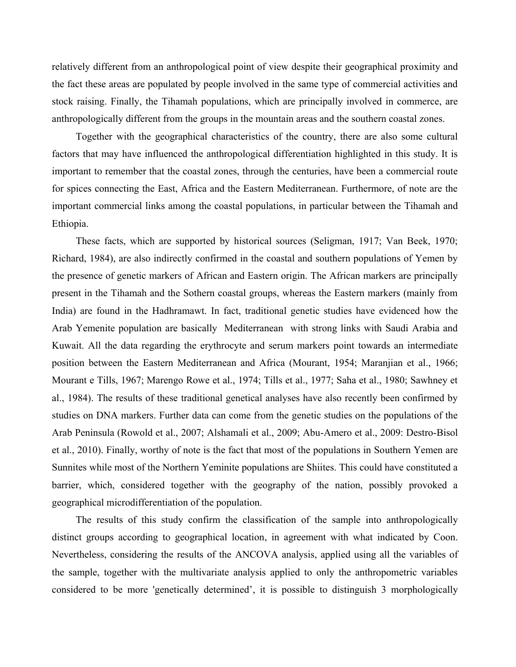relatively different from an anthropological point of view despite their geographical proximity and the fact these areas are populated by people involved in the same type of commercial activities and stock raising. Finally, the Tihamah populations, which are principally involved in commerce, are anthropologically different from the groups in the mountain areas and the southern coastal zones.

Together with the geographical characteristics of the country, there are also some cultural factors that may have influenced the anthropological differentiation highlighted in this study. It is important to remember that the coastal zones, through the centuries, have been a commercial route for spices connecting the East, Africa and the Eastern Mediterranean. Furthermore, of note are the important commercial links among the coastal populations, in particular between the Tihamah and Ethiopia.

These facts, which are supported by historical sources (Seligman, 1917; Van Beek, 1970; Richard, 1984), are also indirectly confirmed in the coastal and southern populations of Yemen by the presence of genetic markers of African and Eastern origin. The African markers are principally present in the Tihamah and the Sothern coastal groups, whereas the Eastern markers (mainly from India) are found in the Hadhramawt. In fact, traditional genetic studies have evidenced how the Arab Yemenite population are basically Mediterranean with strong links with Saudi Arabia and Kuwait. All the data regarding the erythrocyte and serum markers point towards an intermediate position between the Eastern Mediterranean and Africa (Mourant, 1954; Maranjian et al., 1966; Mourant e Tills, 1967; Marengo Rowe et al., 1974; Tills et al., 1977; Saha et al., 1980; Sawhney et al., 1984). The results of these traditional genetical analyses have also recently been confirmed by studies on DNA markers. Further data can come from the genetic studies on the populations of the Arab Peninsula (Rowold et al., 2007; Alshamali et al., 2009; Abu-Amero et al., 2009: Destro-Bisol et al., 2010). Finally, worthy of note is the fact that most of the populations in Southern Yemen are Sunnites while most of the Northern Yeminite populations are Shiites. This could have constituted a barrier, which, considered together with the geography of the nation, possibly provoked a geographical microdifferentiation of the population.

The results of this study confirm the classification of the sample into anthropologically distinct groups according to geographical location, in agreement with what indicated by Coon. Nevertheless, considering the results of the ANCOVA analysis, applied using all the variables of the sample, together with the multivariate analysis applied to only the anthropometric variables considered to be more 'genetically determined', it is possible to distinguish 3 morphologically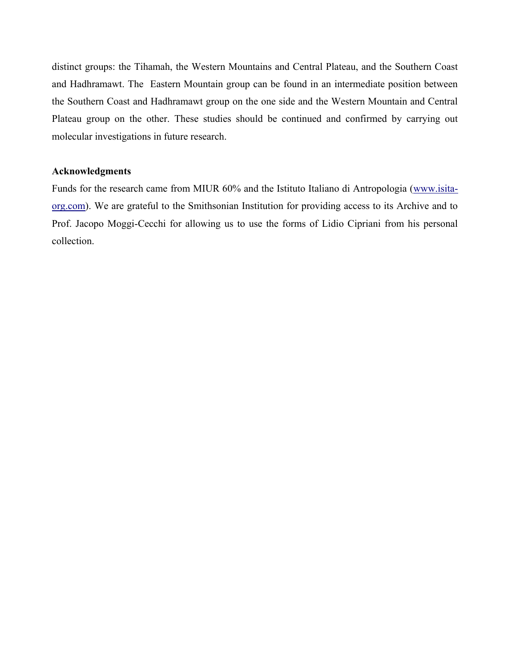distinct groups: the Tihamah, the Western Mountains and Central Plateau, and the Southern Coast and Hadhramawt. The Eastern Mountain group can be found in an intermediate position between the Southern Coast and Hadhramawt group on the one side and the Western Mountain and Central Plateau group on the other. These studies should be continued and confirmed by carrying out molecular investigations in future research.

## **Acknowledgments**

Funds for the research came from MIUR 60% and the Istituto Italiano di Antropologia [\(www.isita](http://www.isita-org.com/)[org.com\)](http://www.isita-org.com/). We are grateful to the Smithsonian Institution for providing access to its Archive and to Prof. Jacopo Moggi-Cecchi for allowing us to use the forms of Lidio Cipriani from his personal collection.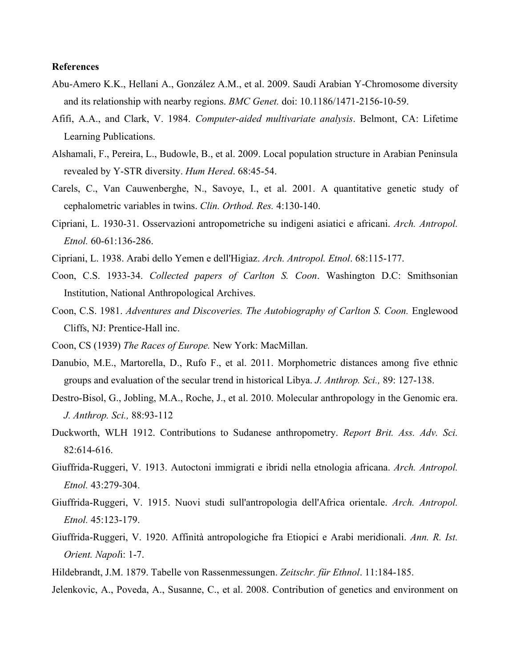#### **References**

- Abu-Amero K.K., Hellani A., González A.M., et al. 2009. Saudi Arabian Y-Chromosome diversity and its relationship with nearby regions. *BMC Genet.* doi: 10.1186/1471-2156-10-59.
- Afifi, A.A., and Clark, V. 1984. *Computer-aided multivariate analysis*. Belmont, CA: Lifetime Learning Publications.
- Alshamali, F., Pereira, L., Budowle, B., et al. 2009. Local population structure in Arabian Peninsula revealed by Y-STR diversity. *Hum Hered*. 68:45-54.
- Carels, C., Van Cauwenberghe, N., Savoye, I., et al. 2001. A quantitative genetic study of cephalometric variables in twins. *Clin. Orthod. Res.* 4:130-140.
- Cipriani, L. 1930-31. Osservazioni antropometriche su indigeni asiatici e africani. *Arch. Antropol. Etnol.* 60-61:136-286.
- Cipriani, L. 1938. Arabi dello Yemen e dell'Higiaz. *Arch. Antropol. Etnol*. 68:115-177.
- Coon, C.S. 1933-34. *Collected papers of Carlton S. Coon*. Washington D.C: Smithsonian Institution, National Anthropological Archives.
- Coon, C.S. 1981. *Adventures and Discoveries. The Autobiography of Carlton S. Coon.* Englewood Cliffs, NJ: Prentice-Hall inc.
- Coon, CS (1939) *The Races of Europe.* New York: MacMillan.
- Danubio, M.E., Martorella, D., Rufo F., et al. 2011. Morphometric distances among five ethnic groups and evaluation of the secular trend in historical Libya. *J. Anthrop. Sci.,* 89: 127-138.
- Destro-Bisol, G., Jobling, M.A., Roche, J., et al. 2010. Molecular anthropology in the Genomic era. *J. Anthrop. Sci.,* 88:93-112
- Duckworth, WLH 1912. Contributions to Sudanese anthropometry. *Report Brit. Ass. Adv. Sci.* 82:614-616.
- Giuffrida-Ruggeri, V. 1913. Autoctoni immigrati e ibridi nella etnologia africana. *Arch. Antropol. Etnol.* 43:279-304.
- Giuffrida-Ruggeri, V. 1915. Nuovi studi sull'antropologia dell'Africa orientale. *Arch. Antropol. Etnol.* 45:123-179.
- Giuffrida-Ruggeri, V. 1920. Affinità antropologiche fra Etiopici e Arabi meridionali. *Ann. R. Ist. Orient. Napol*i: 1-7.
- Hildebrandt, J.M. 1879. Tabelle von Rassenmessungen. *Zeitschr. für Ethnol*. 11:184-185.
- Jelenkovic, A., Poveda, A., Susanne, C., et al. 2008. Contribution of genetics and environment on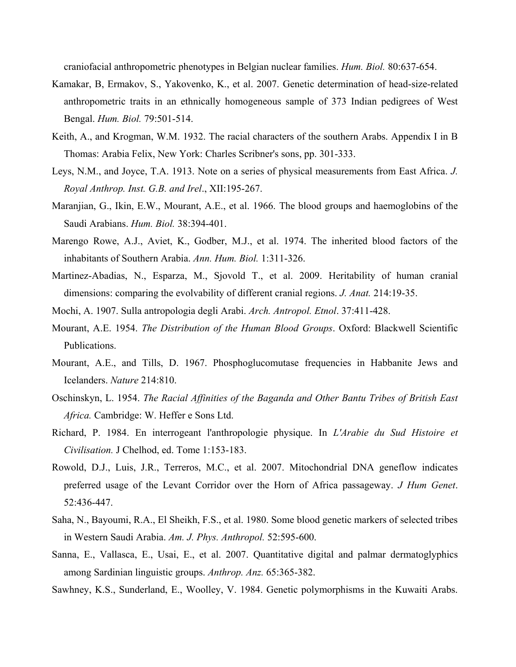craniofacial anthropometric phenotypes in Belgian nuclear families. *Hum. Biol.* 80:637-654.

- Kamakar, B, Ermakov, S., Yakovenko, K., et al. 2007. Genetic determination of head-size-related anthropometric traits in an ethnically homogeneous sample of 373 Indian pedigrees of West Bengal. *Hum. Biol.* 79:501-514.
- Keith, A., and Krogman, W.M. 1932. The racial characters of the southern Arabs. Appendix I in B Thomas: Arabia Felix, New York: Charles Scribner's sons, pp. 301-333.
- Leys, N.M., and Joyce, T.A. 1913. Note on a series of physical measurements from East Africa. *J. Royal Anthrop. Inst. G.B. and Irel*., XII:195-267.
- Maranjian, G., Ikin, E.W., Mourant, A.E., et al. 1966. The blood groups and haemoglobins of the Saudi Arabians. *Hum. Biol.* 38:394-401.
- Marengo Rowe, A.J., Aviet, K., Godber, M.J., et al. 1974. The inherited blood factors of the inhabitants of Southern Arabia. *Ann. Hum. Biol.* 1:311-326.
- Martinez-Abadias, N., Esparza, M., Sjovold T., et al. 2009. Heritability of human cranial dimensions: comparing the evolvability of different cranial regions. *J. Anat.* 214:19-35.
- Mochi, A. 1907. Sulla antropologia degli Arabi. *Arch. Antropol. Etnol*. 37:411-428.
- Mourant, A.E. 1954. *The Distribution of the Human Blood Groups*. Oxford: Blackwell Scientific Publications.
- Mourant, A.E., and Tills, D. 1967. Phosphoglucomutase frequencies in Habbanite Jews and Icelanders. *Nature* 214:810.
- Oschinskyn, L. 1954. *The Racial Affinities of the Baganda and Other Bantu Tribes of British East Africa.* Cambridge: W. Heffer e Sons Ltd.
- Richard, P. 1984. En interrogeant l'anthropologie physique. In *L'Arabie du Sud Histoire et Civilisation.* J Chelhod, ed. Tome 1:153-183.
- Rowold, D.J., Luis, J.R., Terreros, M.C., et al. 2007. Mitochondrial DNA geneflow indicates preferred usage of the Levant Corridor over the Horn of Africa passageway. *J Hum Genet*. 52:436-447.
- Saha, N., Bayoumi, R.A., El Sheikh, F.S., et al. 1980. Some blood genetic markers of selected tribes in Western Saudi Arabia. *Am. J. Phys. Anthropol.* 52:595-600.
- Sanna, E., Vallasca, E., Usai, E., et al. 2007. Quantitative digital and palmar dermatoglyphics among Sardinian linguistic groups. *Anthrop. Anz.* 65:365-382.
- Sawhney, K.S., Sunderland, E., Woolley, V. 1984. Genetic polymorphisms in the Kuwaiti Arabs.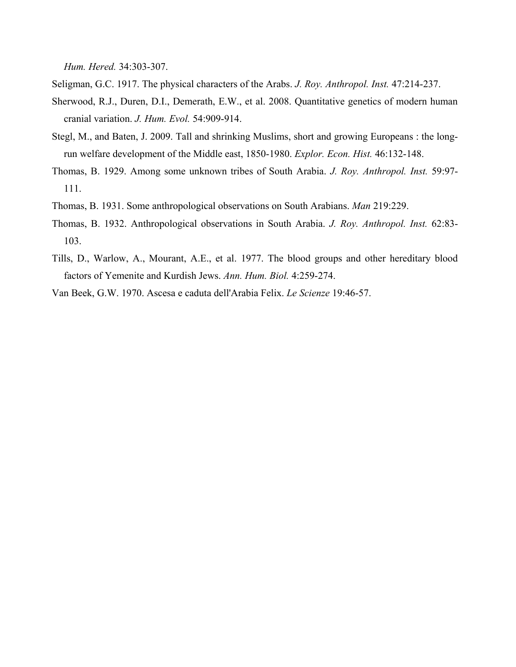*Hum. Hered.* 34:303-307.

Seligman, G.C. 1917. The physical characters of the Arabs. *J. Roy. Anthropol. Inst.* 47:214-237.

- Sherwood, R.J., Duren, D.I., Demerath, E.W., et al. 2008. Quantitative genetics of modern human cranial variation. *J. Hum. Evol.* 54:909-914.
- Stegl, M., and Baten, J. 2009. Tall and shrinking Muslims, short and growing Europeans : the longrun welfare development of the Middle east, 1850-1980. *Explor. Econ. Hist.* 46:132-148.
- Thomas, B. 1929. Among some unknown tribes of South Arabia. *J. Roy. Anthropol. Inst.* 59:97- 111.
- Thomas, B. 1931. Some anthropological observations on South Arabians. *Man* 219:229.
- Thomas, B. 1932. Anthropological observations in South Arabia. *J. Roy. Anthropol. Inst.* 62:83- 103.
- Tills, D., Warlow, A., Mourant, A.E., et al. 1977. The blood groups and other hereditary blood factors of Yemenite and Kurdish Jews. *Ann. Hum. Biol.* 4:259-274.
- Van Beek, G.W. 1970. Ascesa e caduta dell'Arabia Felix. *Le Scienze* 19:46-57.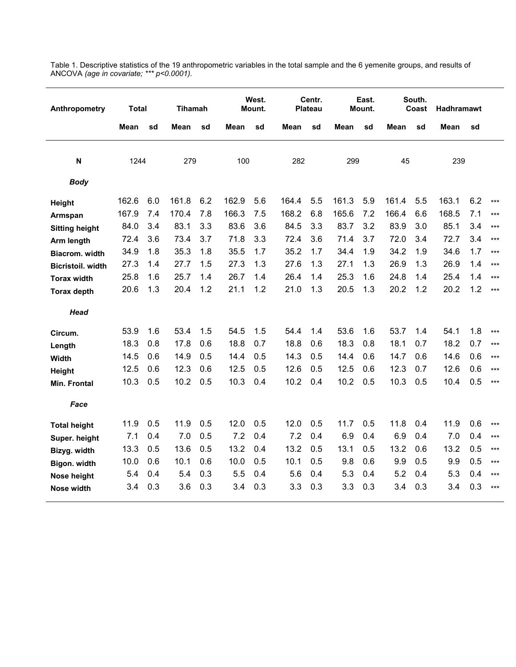| Anthropometry            | <b>Total</b> |     | <b>Tihamah</b> |     |       | West.<br>Mount. |       | Centr.<br><b>Plateau</b> |       | East.<br>Mount. |       | South.<br>Coast | <b>Hadhramawt</b> |     |       |
|--------------------------|--------------|-----|----------------|-----|-------|-----------------|-------|--------------------------|-------|-----------------|-------|-----------------|-------------------|-----|-------|
|                          | Mean         | sd  | Mean           | sd  | Mean  | sd              | Mean  | sd                       | Mean  | sd              | Mean  | sd              | Mean              | sd  |       |
| N                        | 1244         |     | 279            |     | 100   |                 | 282   |                          | 299   |                 | 45    |                 | 239               |     |       |
| <b>Body</b>              |              |     |                |     |       |                 |       |                          |       |                 |       |                 |                   |     |       |
| Height                   | 162.6        | 6.0 | 161.8          | 6.2 | 162.9 | 5.6             | 164.4 | 5.5                      | 161.3 | 5.9             | 161.4 | 5.5             | 163.1             | 6.2 | $***$ |
| Armspan                  | 167.9        | 7.4 | 170.4          | 7.8 | 166.3 | 7.5             | 168.2 | 6.8                      | 165.6 | 7.2             | 166.4 | 6.6             | 168.5             | 7.1 | $***$ |
| <b>Sitting height</b>    | 84.0         | 3.4 | 83.1           | 3.3 | 83.6  | 3.6             | 84.5  | 3.3                      | 83.7  | 3.2             | 83.9  | 3.0             | 85.1              | 3.4 | $***$ |
| Arm length               | 72.4         | 3.6 | 73.4           | 3.7 | 71.8  | 3.3             | 72.4  | 3.6                      | 71.4  | 3.7             | 72.0  | 3.4             | 72.7              | 3.4 | $***$ |
| Biacrom. width           | 34.9         | 1.8 | 35.3           | 1.8 | 35.5  | 1.7             | 35.2  | 1.7                      | 34.4  | 1.9             | 34.2  | 1.9             | 34.6              | 1.7 | $***$ |
| <b>Bicristoil.</b> width | 27.3         | 1.4 | 27.7           | 1.5 | 27.3  | 1.3             | 27.6  | 1.3                      | 27.1  | 1.3             | 26.9  | 1.3             | 26.9              | 1.4 | $***$ |
| <b>Torax width</b>       | 25.8         | 1.6 | 25.7           | 1.4 | 26.7  | 1.4             | 26.4  | 1.4                      | 25.3  | 1.6             | 24.8  | 1.4             | 25.4              | 1.4 | $***$ |
| <b>Torax depth</b>       | 20.6         | 1.3 | 20.4           | 1.2 | 21.1  | 1.2             | 21.0  | 1.3                      | 20.5  | 1.3             | 20.2  | 1.2             | 20.2              | 1.2 | $***$ |
| <b>Head</b>              |              |     |                |     |       |                 |       |                          |       |                 |       |                 |                   |     |       |
| Circum.                  | 53.9         | 1.6 | 53.4           | 1.5 | 54.5  | 1.5             | 54.4  | 1.4                      | 53.6  | 1.6             | 53.7  | 1.4             | 54.1              | 1.8 | $***$ |
| Length                   | 18.3         | 0.8 | 17.8           | 0.6 | 18.8  | 0.7             | 18.8  | 0.6                      | 18.3  | 0.8             | 18.1  | 0.7             | 18.2              | 0.7 | $***$ |
| <b>Width</b>             | 14.5         | 0.6 | 14.9           | 0.5 | 14.4  | 0.5             | 14.3  | 0.5                      | 14.4  | 0.6             | 14.7  | 0.6             | 14.6              | 0.6 | $***$ |
| <b>Height</b>            | 12.5         | 0.6 | 12.3           | 0.6 | 12.5  | 0.5             | 12.6  | 0.5                      | 12.5  | 0.6             | 12.3  | 0.7             | 12.6              | 0.6 | $***$ |
| Min. Frontal             | 10.3         | 0.5 | 10.2           | 0.5 | 10.3  | 0.4             | 10.2  | 0.4                      | 10.2  | 0.5             | 10.3  | 0.5             | 10.4              | 0.5 | $***$ |
| Face                     |              |     |                |     |       |                 |       |                          |       |                 |       |                 |                   |     |       |
| <b>Total height</b>      | 11.9         | 0.5 | 11.9           | 0.5 | 12.0  | 0.5             | 12.0  | 0.5                      | 11.7  | 0.5             | 11.8  | 0.4             | 11.9              | 0.6 | $***$ |
| Super. height            | 7.1          | 0.4 | 7.0            | 0.5 | 7.2   | 0.4             | 7.2   | 0.4                      | 6.9   | 0.4             | 6.9   | 0.4             | 7.0               | 0.4 | $***$ |
| Bizyg. width             | 13.3         | 0.5 | 13.6           | 0.5 | 13.2  | 0.4             | 13.2  | 0.5                      | 13.1  | $0.5\,$         | 13.2  | 0.6             | 13.2              | 0.5 | $***$ |
| Bigon. width             | 10.0         | 0.6 | 10.1           | 0.6 | 10.0  | 0.5             | 10.1  | 0.5                      | 9.8   | 0.6             | 9.9   | 0.5             | 9.9               | 0.5 | $***$ |
| Nose height              | 5.4          | 0.4 | 5.4            | 0.3 | 5.5   | 0.4             | 5.6   | 0.4                      | 5.3   | 0.4             | 5.2   | 0.4             | 5.3               | 0.4 | $***$ |
| Nose width               | 3.4          | 0.3 | 3.6            | 0.3 | 3.4   | 0.3             | 3.3   | 0.3                      | 3.3   | 0.3             | 3.4   | 0.3             | 3.4               | 0.3 | $***$ |

Table 1. Descriptive statistics of the 19 anthropometric variables in the total sample and the 6 yemenite groups, and results of ANCOVA *(age in covariate; \*\*\* p<0.0001).*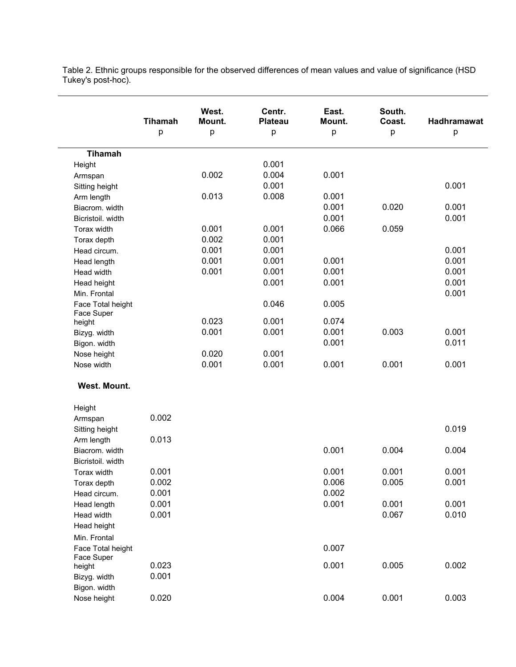Table 2. Ethnic groups responsible for the observed differences of mean values and value of significance (HSD Tukey's post-hoc).

|                   | <b>Tihamah</b><br>р | West.<br>Mount.<br>р | Centr.<br><b>Plateau</b><br>p | East.<br>Mount.<br>р | South.<br>Coast.<br>р | <b>Hadhramawat</b><br>р |
|-------------------|---------------------|----------------------|-------------------------------|----------------------|-----------------------|-------------------------|
| <b>Tihamah</b>    |                     |                      |                               |                      |                       |                         |
| Height            |                     |                      | 0.001                         |                      |                       |                         |
| Armspan           |                     | 0.002                | 0.004                         | 0.001                |                       |                         |
| Sitting height    |                     |                      | 0.001                         |                      |                       | 0.001                   |
| Arm length        |                     | 0.013                | 0.008                         | 0.001                |                       |                         |
| Biacrom. width    |                     |                      |                               | 0.001                | 0.020                 | 0.001                   |
| Bicristoil. width |                     |                      |                               | 0.001                |                       | 0.001                   |
| Torax width       |                     | 0.001                | 0.001                         | 0.066                | 0.059                 |                         |
| Torax depth       |                     | 0.002                | 0.001                         |                      |                       |                         |
| Head circum.      |                     | 0.001                | 0.001                         |                      |                       | 0.001                   |
| Head length       |                     | 0.001                | 0.001                         | 0.001                |                       | 0.001                   |
| Head width        |                     | 0.001                | 0.001                         | 0.001                |                       | 0.001                   |
| Head height       |                     |                      | 0.001                         | 0.001                |                       | 0.001                   |
| Min. Frontal      |                     |                      |                               |                      |                       | 0.001                   |
| Face Total height |                     |                      | 0.046                         | 0.005                |                       |                         |
| Face Super        |                     |                      |                               |                      |                       |                         |
| height            |                     | 0.023                | 0.001                         | 0.074                |                       |                         |
| Bizyg. width      |                     | 0.001                | 0.001                         | 0.001                | 0.003                 | 0.001                   |
| Bigon. width      |                     |                      |                               | 0.001                |                       | 0.011                   |
| Nose height       |                     | 0.020                | 0.001                         |                      |                       |                         |
| Nose width        |                     | 0.001                | 0.001                         | 0.001                | 0.001                 | 0.001                   |
| West. Mount.      |                     |                      |                               |                      |                       |                         |
| Height            |                     |                      |                               |                      |                       |                         |
| Armspan           | 0.002               |                      |                               |                      |                       |                         |
| Sitting height    |                     |                      |                               |                      |                       | 0.019                   |
| Arm length        | 0.013               |                      |                               |                      |                       |                         |
| Biacrom. width    |                     |                      |                               | 0.001                | 0.004                 | 0.004                   |
| Bicristoil. width |                     |                      |                               |                      |                       |                         |
| Torax width       | 0.001               |                      |                               | 0.001                | 0.001                 | 0.001                   |
| Torax depth       | 0.002               |                      |                               | 0.006                | 0.005                 | 0.001                   |
| Head circum.      | 0.001               |                      |                               | 0.002                |                       |                         |
| Head length       | 0.001               |                      |                               | 0.001                | 0.001                 | 0.001                   |
| Head width        | 0.001               |                      |                               |                      | 0.067                 | 0.010                   |
| Head height       |                     |                      |                               |                      |                       |                         |
| Min. Frontal      |                     |                      |                               |                      |                       |                         |
| Face Total height |                     |                      |                               | 0.007                |                       |                         |
| Face Super        |                     |                      |                               |                      |                       |                         |
| height            | 0.023               |                      |                               | 0.001                | 0.005                 | 0.002                   |
| Bizyg. width      | 0.001               |                      |                               |                      |                       |                         |
| Bigon. width      |                     |                      |                               |                      |                       |                         |
| Nose height       | 0.020               |                      |                               | 0.004                | 0.001                 | 0.003                   |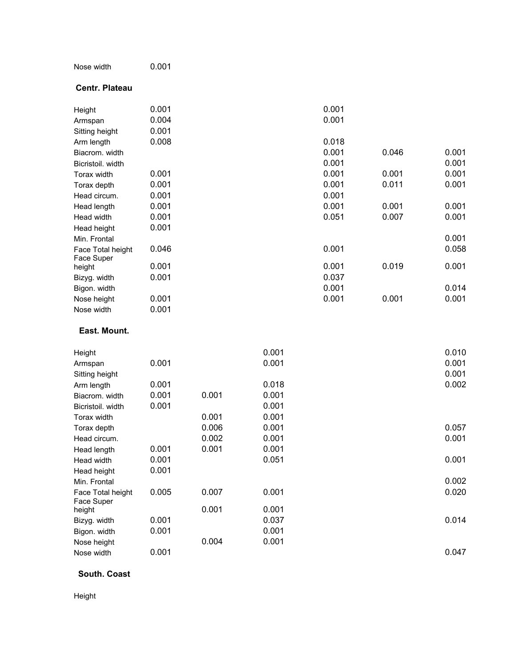| Nose width | 0.001 |
|------------|-------|
|------------|-------|

#### **Centr. Plateau**

| Height                            | 0.001          |       |       | 0.001 |       |       |
|-----------------------------------|----------------|-------|-------|-------|-------|-------|
| Armspan                           | 0.004<br>0.001 |       |       | 0.001 |       |       |
| Sitting height                    | 0.008          |       |       | 0.018 |       |       |
| Arm length<br>Biacrom. width      |                |       |       | 0.001 | 0.046 | 0.001 |
| Bicristoil. width                 |                |       |       | 0.001 |       | 0.001 |
| Torax width                       | 0.001          |       |       | 0.001 | 0.001 | 0.001 |
|                                   | 0.001          |       |       | 0.001 | 0.011 | 0.001 |
| Torax depth<br>Head circum.       | 0.001          |       |       | 0.001 |       |       |
|                                   | 0.001          |       |       | 0.001 | 0.001 | 0.001 |
| Head length<br>Head width         | 0.001          |       |       | 0.051 | 0.007 | 0.001 |
|                                   | 0.001          |       |       |       |       |       |
| Head height                       |                |       |       |       |       | 0.001 |
| Min. Frontal<br>Face Total height | 0.046          |       |       | 0.001 |       | 0.058 |
| Face Super                        |                |       |       |       |       |       |
| height                            | 0.001          |       |       | 0.001 | 0.019 | 0.001 |
| Bizyg. width                      | 0.001          |       |       | 0.037 |       |       |
| Bigon. width                      |                |       |       | 0.001 |       | 0.014 |
| Nose height                       | 0.001          |       |       | 0.001 | 0.001 | 0.001 |
| Nose width                        | 0.001          |       |       |       |       |       |
| East. Mount.                      |                |       |       |       |       |       |
| Height                            |                |       | 0.001 |       |       | 0.010 |
| Armspan                           | 0.001          |       | 0.001 |       |       | 0.001 |
| Sitting height                    |                |       |       |       |       | 0.001 |
| Arm length                        | 0.001          |       | 0.018 |       |       | 0.002 |
| Biacrom. width                    | 0.001          | 0.001 | 0.001 |       |       |       |
| Bicristoil. width                 | 0.001          |       | 0.001 |       |       |       |
| Torax width                       |                | 0.001 | 0.001 |       |       |       |
| Torax depth                       |                | 0.006 | 0.001 |       |       | 0.057 |
| Head circum.                      |                | 0.002 | 0.001 |       |       | 0.001 |
| Head length                       | 0.001          | 0.001 | 0.001 |       |       |       |
| Head width                        | 0.001          |       | 0.051 |       |       | 0.001 |
| Head height                       | 0.001          |       |       |       |       |       |
| Min. Frontal                      |                |       |       |       |       | 0.002 |
| Face Total height<br>Face Super   | 0.005          | 0.007 | 0.001 |       |       | 0.020 |
| height                            |                | 0.001 | 0.001 |       |       |       |
| Bizyg. width                      | 0.001          |       | 0.037 |       |       | 0.014 |
| Bigon. width                      | 0.001          |       | 0.001 |       |       |       |
| Nose height                       |                | 0.004 | 0.001 |       |       |       |
| Nose width                        | 0.001          |       |       |       |       | 0.047 |

## **South. Coast**

Height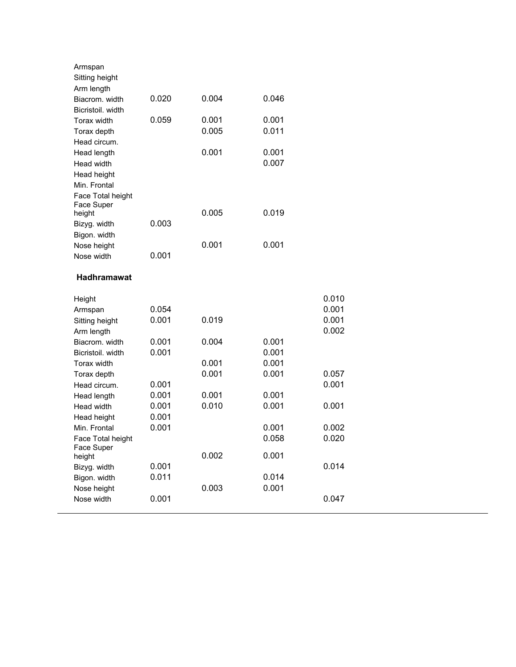| Armspan<br>Sitting height    |       |       |       |       |
|------------------------------|-------|-------|-------|-------|
| Arm length                   |       |       |       |       |
| Biacrom. width               | 0.020 | 0.004 | 0.046 |       |
| Bicristoil, width            |       |       |       |       |
| Torax width                  | 0.059 | 0.001 | 0.001 |       |
| Torax depth                  |       | 0.005 | 0.011 |       |
| Head circum.                 |       |       |       |       |
| Head length                  |       | 0.001 | 0.001 |       |
| Head width                   |       |       | 0.007 |       |
| Head height                  |       |       |       |       |
| Min. Frontal                 |       |       |       |       |
| Face Total height            |       |       |       |       |
| Face Super                   |       | 0.005 | 0.019 |       |
| height<br>Bizyg. width       | 0.003 |       |       |       |
| Bigon. width                 |       |       |       |       |
| Nose height                  |       | 0.001 | 0.001 |       |
| Nose width                   | 0.001 |       |       |       |
|                              |       |       |       |       |
| Hadhramawat                  |       |       |       |       |
| Height                       |       |       |       | 0.010 |
| Armspan                      | 0.054 |       |       | 0.001 |
|                              |       |       |       |       |
|                              | 0.001 | 0.019 |       | 0.001 |
| Sitting height<br>Arm length |       |       |       | 0.002 |
| Biacrom, width               | 0.001 | 0.004 | 0.001 |       |
| Bicristoil, width            | 0.001 |       | 0.001 |       |
| Torax width                  |       | 0.001 | 0.001 |       |
| Torax depth                  |       | 0.001 | 0.001 | 0.057 |
| Head circum.                 | 0.001 |       |       | 0.001 |
| Head length                  | 0.001 | 0.001 | 0.001 |       |
| Head width                   | 0.001 | 0.010 | 0.001 | 0.001 |
| Head height                  | 0.001 |       |       |       |
| Min. Frontal                 | 0.001 |       | 0.001 | 0.002 |
| Face Total height            |       |       | 0.058 | 0.020 |
| Face Super                   |       |       |       |       |
| height                       |       | 0.002 | 0.001 |       |
| Bizyg. width                 | 0.001 |       |       | 0.014 |
| Bigon. width                 | 0.011 |       | 0.014 |       |
| Nose height<br>Nose width    | 0.001 | 0.003 | 0.001 | 0.047 |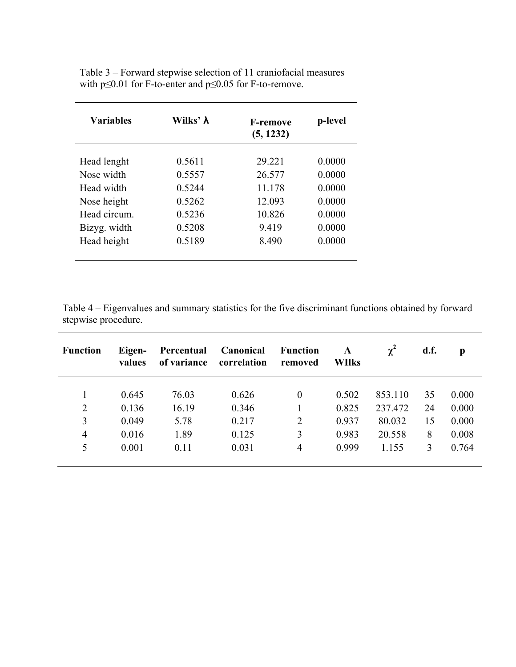| <b>Variables</b> | Wilks' <b>λ</b> | <b>F-remove</b><br>(5, 1232) | p-level |  |
|------------------|-----------------|------------------------------|---------|--|
| Head lenght      | 0.5611          | 29.221                       | 0.0000  |  |
| Nose width       | 0.5557          | 26.577                       | 0.0000  |  |
| Head width       | 0.5244          | 11.178                       | 0.0000  |  |
| Nose height      | 0.5262          | 12.093                       | 0.0000  |  |
| Head circum.     | 0.5236          | 10.826                       | 0.0000  |  |
| Bizyg. width     | 0.5208          | 9.419                        | 0.0000  |  |
| Head height      | 0.5189          | 8.490                        | 0.0000  |  |
|                  |                 |                              |         |  |

Table 3 – Forward stepwise selection of 11 craniofacial measures with p≤0.01 for F-to-enter and p≤0.05 for F-to-remove.

Table 4 – Eigenvalues and summary statistics for the five discriminant functions obtained by forward stepwise procedure.

| <b>Function</b> | Eigen-<br>values | Percentual<br>of variance | Canonical<br>correlation | <b>Function</b><br>removed | $\Lambda$<br><b>WIlks</b> | $\chi^2$ | d.f. | p     |
|-----------------|------------------|---------------------------|--------------------------|----------------------------|---------------------------|----------|------|-------|
|                 | 0.645            | 76.03                     | 0.626                    | $\boldsymbol{0}$           | 0.502                     | 853.110  | 35   | 0.000 |
| $\overline{2}$  | 0.136            | 16.19                     | 0.346                    |                            | 0.825                     | 237.472  | 24   | 0.000 |
| 3               | 0.049            | 5.78                      | 0.217                    | $\overline{2}$             | 0.937                     | 80.032   | 15   | 0.000 |
| $\overline{4}$  | 0.016            | 1.89                      | 0.125                    | 3                          | 0.983                     | 20.558   | 8    | 0.008 |
| 5               | 0.001            | 0.11                      | 0.031                    | 4                          | 0.999                     | 1.155    | 3    | 0.764 |
|                 |                  |                           |                          |                            |                           |          |      |       |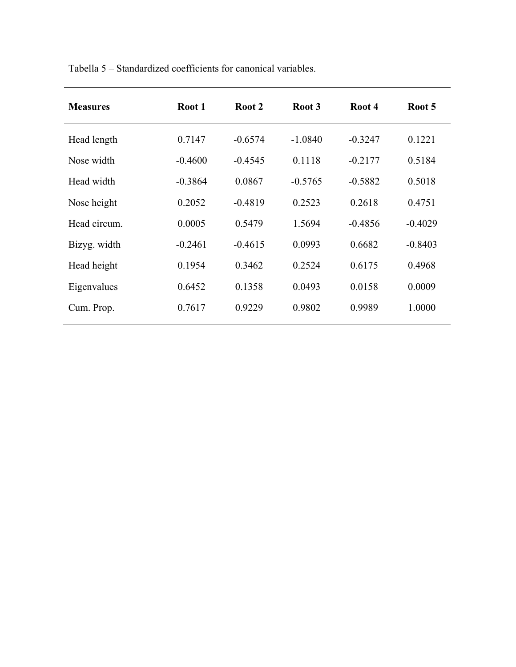| <b>Measures</b> | Root 1    | Root 2    | Root 3    | Root 4    | Root 5    |
|-----------------|-----------|-----------|-----------|-----------|-----------|
| Head length     | 0.7147    | $-0.6574$ | $-1.0840$ | $-0.3247$ | 0.1221    |
| Nose width      | $-0.4600$ | $-0.4545$ | 0.1118    | $-0.2177$ | 0.5184    |
| Head width      | $-0.3864$ | 0.0867    | $-0.5765$ | $-0.5882$ | 0.5018    |
| Nose height     | 0.2052    | $-0.4819$ | 0.2523    | 0.2618    | 0.4751    |
| Head circum.    | 0.0005    | 0.5479    | 1.5694    | $-0.4856$ | $-0.4029$ |
| Bizyg. width    | $-0.2461$ | $-0.4615$ | 0.0993    | 0.6682    | $-0.8403$ |
| Head height     | 0.1954    | 0.3462    | 0.2524    | 0.6175    | 0.4968    |
| Eigenvalues     | 0.6452    | 0.1358    | 0.0493    | 0.0158    | 0.0009    |
| Cum. Prop.      | 0.7617    | 0.9229    | 0.9802    | 0.9989    | 1.0000    |
|                 |           |           |           |           |           |

Tabella 5 – Standardized coefficients for canonical variables.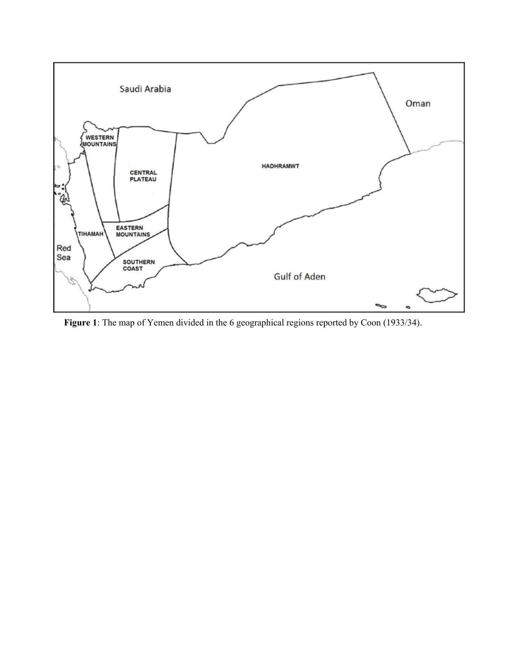

**Figure 1**: The map of Yemen divided in the 6 geographical regions reported by Coon (1933/34).